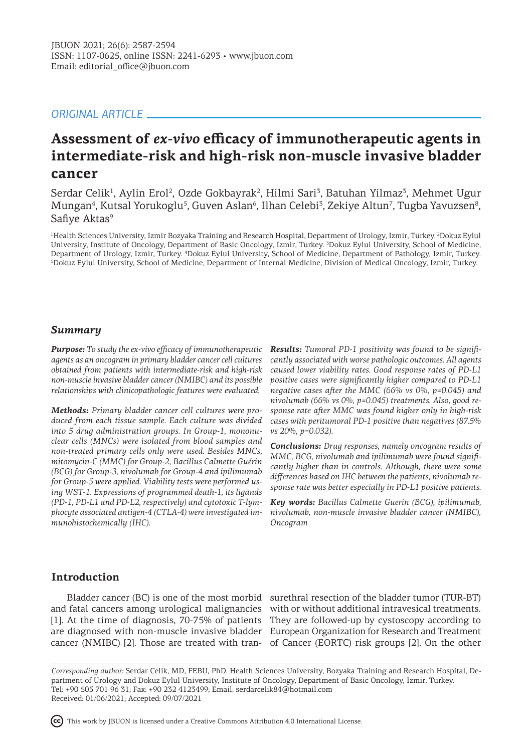# *ORIGINAL ARTICLE*

# **Assessment of** *ex-vivo* **efficacy of immunotherapeutic agents in intermediate-risk and high-risk non-muscle invasive bladder cancer**

Serdar Celik<sup>1</sup>, Aylin Erol<sup>2</sup>, Ozde Gokbayrak<sup>2</sup>, Hilmi Sari<sup>3</sup>, Batuhan Yilmaz<sup>3</sup>, Mehmet Ugur Mungan<sup>4</sup>, Kutsal Yorukoglu<sup>5</sup>, Guven Aslan<sup>6</sup>, Ilhan Celebi<sup>3</sup>, Zekiye Altun<sup>7</sup>, Tugba Yavuzsen<sup>8</sup>, Safiye Aktas<sup>9</sup>

1 Health Sciences University, Izmir Bozyaka Training and Research Hospital, Department of Urology, Izmir, Turkey. <sup>2</sup> Dokuz Eylul University, Institute of Oncology, Department of Basic Oncology, Izmir, Turkey. <sup>3</sup> Dokuz Eylul University, School of Medicine, Department of Urology, Izmir, Turkey. <sup>4</sup>Dokuz Eylul University, School of Medicine, Department of Pathology, Izmir, Turkey. 5 Dokuz Eylul University, School of Medicine, Department of Internal Medicine, Division of Medical Oncology, Izmir, Turkey.

### *Summary*

*Purpose: To study the ex-vivo efficacy of immunotherapeutic agents as an oncogram in primary bladder cancer cell cultures obtained from patients with intermediate-risk and high-risk non-muscle invasive bladder cancer (NMIBC) and its possible relationships with clinicopathologic features were evaluated.* 

*Methods: Primary bladder cancer cell cultures were produced from each tissue sample. Each culture was divided into 5 drug administration groups. In Group-1, mononuclear cells (MNCs) were isolated from blood samples and non-treated primary cells only were used. Besides MNCs, mitomycin-C (MMC) for Group-2, Bacillus Calmette Guérin (BCG) for Group-3, nivolumab for Group-4 and ipilimumab for Group-5 were applied. Viability tests were performed using WST-1. Expressions of programmed death-1, its ligands (PD-1, PD-L1 and PD-L2, respectively) and cytotoxic T-lymphocyte associated antigen-4 (CTLA-4) were investigated immunohistochemically (IHC).* 

*Results: Tumoral PD-1 positivity was found to be significantly associated with worse pathologic outcomes. All agents caused lower viability rates. Good response rates of PD-L1 positive cases were significantly higher compared to PD-L1 negative cases after the MMC (66% vs 0%, p=0.045) and nivolumab (66% vs 0%, p=0.045) treatments. Also, good response rate after MMC was found higher only in high-risk cases with peritumoral PD-1 positive than negatives (87.5% vs 20%, p=0.032).* 

*Conclusions: Drug responses, namely oncogram results of MMC, BCG, nivolumab and ipilimumab were found significantly higher than in controls. Although, there were some differences based on IHC between the patients, nivolumab response rate was better especially in PD-L1 positive patients.*

*Key words: Bacillus Calmette Guerin (BCG), ipilimumab, nivolumab, non-muscle invasive bladder cancer (NMIBC), Oncogram* 

# **Introduction**

Bladder cancer (BC) is one of the most morbid surethral resection of the bladder tumor (TUR-BT) and fatal cancers among urological malignancies with or without additional intravesical treatments. [1]. At the time of diagnosis, 70-75% of patients They are followed-up by cystoscopy according to are diagnosed with non-muscle invasive bladder European Organization for Research and Treatment cancer (NMIBC) [2]. Those are treated with tran-of Cancer (EORTC) risk groups [2]. On the other

*Corresponding author:* Serdar Celik, MD, FEBU, PhD. Health Sciences University, Bozyaka Training and Research Hospital, Department of Urology and Dokuz Eylul University, Institute of Oncology, Department of Basic Oncology, Izmir, Turkey. Tel: +90 505 701 96 31; Fax: +90 232 4123499; Email: serdarcelik84@hotmail.com Received: 01/06/2021; Accepted: 09/07/2021

This work by JBUON is licensed under a Creative Commons Attribution 4.0 International License.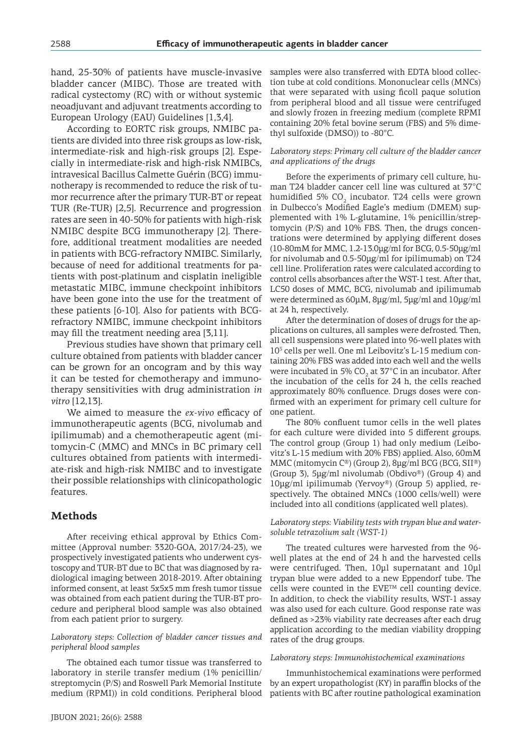hand, 25-30% of patients have muscle-invasive bladder cancer (MIBC). Those are treated with radical cystectomy (RC) with or without systemic neoadjuvant and adjuvant treatments according to European Urology (EAU) Guidelines [1,3,4].

According to EORTC risk groups, NMIBC patients are divided into three risk groups as low-risk, intermediate-risk and high-risk groups [2]. Especially in intermediate-risk and high-risk NMIBCs, intravesical Bacillus Calmette Guérin (BCG) immunotherapy is recommended to reduce the risk of tumor recurrence after the primary TUR-BT or repeat TUR (Re-TUR) [2,5]. Recurrence and progression rates are seen in 40-50% for patients with high-risk NMIBC despite BCG immunotherapy [2]. Therefore, additional treatment modalities are needed in patients with BCG-refractory NMIBC. Similarly, because of need for additional treatments for patients with post-platinum and cisplatin ineligible metastatic MIBC, immune checkpoint inhibitors have been gone into the use for the treatment of these patients [6-10]. Also for patients with BCGrefractory NMIBC, immune checkpoint inhibitors may fill the treatment needing area [3,11].

Previous studies have shown that primary cell culture obtained from patients with bladder cancer can be grown for an oncogram and by this way it can be tested for chemotherapy and immunotherapy sensitivities with drug administration *in vitro* [12,13].

We aimed to measure the *ex-vivo* efficacy of immunotherapeutic agents (BCG, nivolumab and ipilimumab) and a chemotherapeutic agent (mitomycin-C (MMC) and MNCs in BC primary cell cultures obtained from patients with intermediate-risk and high-risk NMIBC and to investigate their possible relationships with clinicopathologic features.

## **Methods**

After receiving ethical approval by Ethics Committee (Approval number: 3320-GOA, 2017/24-23), we prospectively investigated patients who underwent cystoscopy and TUR-BT due to BC that was diagnosed by radiological imaging between 2018-2019. After obtaining informed consent, at least 5x5x5 mm fresh tumor tissue was obtained from each patient during the TUR-BT procedure and peripheral blood sample was also obtained from each patient prior to surgery.

#### *Laboratory steps: Collection of bladder cancer tissues and peripheral blood samples*

The obtained each tumor tissue was transferred to laboratory in sterile transfer medium (1% penicillin/ streptomycin (P/S) and Roswell Park Memorial Institute medium (RPMI)) in cold conditions. Peripheral blood samples were also transferred with EDTA blood collection tube at cold conditions. Mononuclear cells (MNCs) that were separated with using ficoll paque solution from peripheral blood and all tissue were centrifuged and slowly frozen in freezing medium (complete RPMI containing 20% fetal bovine serum (FBS) and 5% dimethyl sulfoxide (DMSO)) to -80°C.

#### *Laboratory steps: Primary cell culture of the bladder cancer and applications of the drugs*

Before the experiments of primary cell culture, human T24 bladder cancer cell line was cultured at 37°C humidified 5% CO $_{\rm _2}$  incubator. T24 cells were grown in Dulbecco's Modified Eagle's medium (DMEM) supplemented with 1% L-glutamine, 1% penicillin/streptomycin (P/S) and 10% FBS. Then, the drugs concentrations were determined by applying different doses (10-80mM for MMC, 1.2-13.0μg/ml for BCG, 0.5-50μg/ml for nivolumab and 0.5-50μg/ml for ipilimumab) on T24 cell line. Proliferation rates were calculated according to control cells absorbances after the WST-1 test. After that, LC50 doses of MMC, BCG, nivolumab and ipilimumab were determined as 60μM, 8μg/ml, 5μg/ml and 10μg/ml at 24 h, respectively.

After the determination of doses of drugs for the applications on cultures, all samples were defrosted. Then, all cell suspensions were plated into 96-well plates with 105 cells per well. One ml Leibovitz's L-15 medium containing 20% FBS was added into each well and the wells were incubated in 5% CO<sub>2</sub> at 37°C in an incubator. After the incubation of the cells for 24 h, the cells reached approximately 80% confluence. Drugs doses were confirmed with an experiment for primary cell culture for one patient.

The 80% confluent tumor cells in the well plates for each culture were divided into 5 different groups. The control group (Group 1) had only medium (Leibovitz's L-15 medium with 20% FBS) applied. Also, 60mM MMC (mitomycin C®) (Group 2), 8μg/ml BCG (BCG, SII®) (Group 3), 5μg/ml nivolumab (Obdivo®) (Group 4) and 10μg/ml ipilimumab (Yervoy®) (Group 5) applied, respectively. The obtained MNCs (1000 cells/well) were included into all conditions (applicated well plates).

*Laboratory steps: Viability tests with trypan blue and watersoluble tetrazolium salt (WST-1)*

The treated cultures were harvested from the 96 well plates at the end of 24 h and the harvested cells were centrifuged. Then, 10μl supernatant and 10μl trypan blue were added to a new Eppendorf tube. The cells were counted in the  $EVE^{TM}$  cell counting device. In addition, to check the viability results, WST-1 assay was also used for each culture. Good response rate was defined as >23% viability rate decreases after each drug application according to the median viability dropping rates of the drug groups.

*Laboratory steps: Immunohistochemical examinations*

Immunhistochemical examinations were performed by an expert uropathologist (KY) in paraffin blocks of the patients with BC after routine pathological examination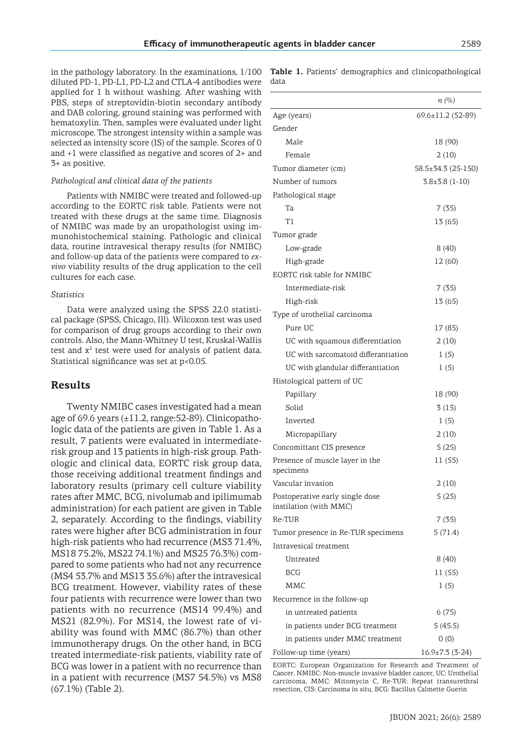in the pathology laboratory. In the examinations, 1/100 diluted PD-1, PD-L1, PD-L2 and CTLA-4 antibodies were applied for 1 h without washing. After washing with PBS, steps of streptovidin-biotin secondary antibody and DAB coloring, ground staining was performed with hematoxylin. Then, samples were evaluated under light microscope. The strongest intensity within a sample was selected as intensity score (IS) of the sample. Scores of 0 and +1 were classified as negative and scores of 2+ and 3+ as positive.

#### *Pathological and clinical data of the patients*

Patients with NMIBC were treated and followed-up according to the EORTC risk table. Patients were not treated with these drugs at the same time. Diagnosis of NMIBC was made by an uropathologist using immunohistochemical staining. Pathologic and clinical data, routine intravesical therapy results (for NMIBC) and follow-up data of the patients were compared to *exvivo* viability results of the drug application to the cell cultures for each case.

#### *Statistics*

Data were analyzed using the SPSS 22.0 statistical package (SPSS, Chicago, Ill). Wilcoxon test was used for comparison of drug groups according to their own controls. Also, the Mann-Whitney U test, Kruskal-Wallis test and  $x^2$  test were used for analysis of patient data. Statistical significance was set at p<0.05.

### **Results**

Twenty NMIBC cases investigated had a mean age of 69.6 years  $(\pm 11.2, \text{range:} 52\text{-}89)$ . Clinicopathologic data of the patients are given in Table 1. As a result, 7 patients were evaluated in intermediaterisk group and 13 patients in high-risk group. Pathologic and clinical data, EORTC risk group data, those receiving additional treatment findings and laboratory results (primary cell culture viability rates after MMC, BCG, nivolumab and ipilimumab administration) for each patient are given in Table 2, separately. According to the findings, viability rates were higher after BCG administration in four high-risk patients who had recurrence (MS3 71.4%, MS18 75.2%, MS22 74.1%) and MS25 76.3%) compared to some patients who had not any recurrence (MS4 53.7% and MS13 35.6%) after the intravesical BCG treatment. However, viability rates of these four patients with recurrence were lower than two patients with no recurrence (MS14 99.4%) and MS21 (82.9%). For MS14, the lowest rate of viability was found with MMC (86.7%) than other immunotherapy drugs. On the other hand, in BCG treated intermediate-risk patients, viability rate of BCG was lower in a patient with no recurrence than in a patient with recurrence (MS7 54.5%) vs MS8 (67.1%) (Table 2).

**Table 1.** Patients' demographics and clinicopathological data

|                                                           | $n \ (\%)$              |
|-----------------------------------------------------------|-------------------------|
| Age (years)                                               | $69.6 \pm 11.2$ (52-89) |
| Gender                                                    |                         |
| Male                                                      | 18 (90)                 |
| Female                                                    | 2(10)                   |
| Tumor diameter (cm)                                       | 58.5±34.3 (25-150)      |
| Number of tumors                                          | $3.8 \pm 3.8$ (1-10)    |
| Pathological stage                                        |                         |
| Ta                                                        | 7(35)                   |
| Τ1                                                        | 13 (65)                 |
| Tumor grade                                               |                         |
| Low-grade                                                 | 8(40)                   |
| High-grade                                                | 12 (60)                 |
| EORTC risk table for NMIBC                                |                         |
| Intermediate-risk                                         | 7(35)                   |
| High-risk                                                 | 13 (65)                 |
| Type of urothelial carcinoma                              |                         |
| Pure UC                                                   | 17 (85)                 |
| UC with squamous differentiation                          | 2(10)                   |
| UC with sarcomatoid differantiation                       | 1(5)                    |
| UC with glandular differantiation                         | 1(5)                    |
| Histological pattern of UC                                |                         |
| Papillary                                                 | 18 (90)                 |
| Solid                                                     | 3(15)                   |
| Inverted                                                  | 1(5)                    |
| Micropapillary                                            | 2(10)                   |
| Concomittant CIS presence                                 | 5(25)                   |
| Presence of muscle layer in the<br>specimens              | 11 (55)                 |
| Vascular invasion                                         | 2(10)                   |
| Postoperative early single dose<br>instilation (with MMC) | 5(25)                   |
| Re-TUR                                                    | 7(35)                   |
| Tumor presence in Re-TUR specimens                        | 5(71.4)                 |
| Intravesical treatment                                    |                         |
| Untreated                                                 | 8(40)                   |
| BCG                                                       | 11 (55)                 |
| MMC                                                       | 1(5)                    |
| Recurrence in the follow-up                               |                         |
| in untreated patients                                     | 6(75)                   |
| in patients under BCG treatment                           | 5(45.5)                 |
| in patients under MMC treatment                           | 0(0)                    |
| Follow-up time (years)                                    | $16.9 \pm 7.3$ (3-24)   |

EORTC: European Organization for Research and Treatment of Cancer, NMIBC: Non-muscle invasive bladder cancer, UC: Urothelial carcinoma, MMC: Mitomycin C, Re-TUR: Repeat transurethral resection, CIS: Carcinoma in situ, BCG: Bacillus Calmette Guerin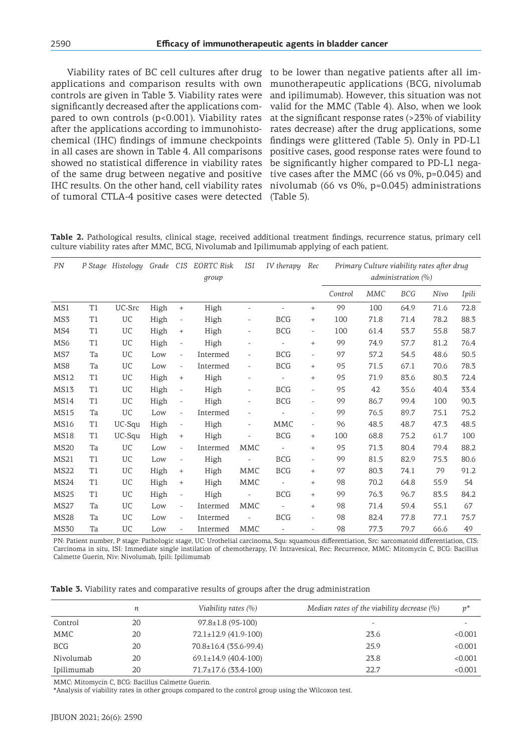Viability rates of BC cell cultures after drug applications and comparison results with own controls are given in Table 3. Viability rates were significantly decreased after the applications compared to own controls (p<0.001). Viability rates after the applications according to immunohistochemical (IHC) findings of immune checkpoints in all cases are shown in Table 4. All comparisons showed no statistical difference in viability rates of the same drug between negative and positive IHC results. On the other hand, cell viability rates of tumoral CTLA-4 positive cases were detected

to be lower than negative patients after all immunotherapeutic applications (BCG, nivolumab and ipilimumab). However, this situation was not valid for the MMC (Table 4). Also, when we look at the significant response rates (>23% of viability rates decrease) after the drug applications, some findings were glittered (Table 5). Only in PD-L1 positive cases, good response rates were found to be significantly higher compared to PD-L1 negative cases after the MMC (66 vs 0%, p=0.045) and nivolumab (66 vs 0%, p=0.045) administrations (Table 5).

**Table 2.** Pathological results, clinical stage, received additional treatment findings, recurrence status, primary cell culture viability rates after MMC, BCG, Nivolumab and Ipilimumab applying of each patient.

| PN               |                | P Stage Histology | Grade CIS |                                  | EORTC Risk<br>group | ISI                          | IV therapy               | Rec                      | Primary Culture viability rates after drug<br>administration (%) |            |            |      |       |
|------------------|----------------|-------------------|-----------|----------------------------------|---------------------|------------------------------|--------------------------|--------------------------|------------------------------------------------------------------|------------|------------|------|-------|
|                  |                |                   |           |                                  |                     |                              |                          |                          | Control                                                          | <b>MMC</b> | <b>BCG</b> | Nivo | Ipili |
| MS1              | T1             | UC-Src            | High      | $\qquad \qquad +$                | High                | $\overline{a}$               |                          | $^{+}$                   | 99                                                               | 100        | 64.9       | 71.6 | 72.8  |
| MS3              | T1             | UC                | High      | $\overline{\phantom{a}}$         | High                | $\overline{\phantom{a}}$     | <b>BCG</b>               | $^{+}$                   | 100                                                              | 71.8       | 71.4       | 78.2 | 88.3  |
| MS4              | T <sub>1</sub> | UC                | High      | $^{+}$                           | High                | $\overline{\phantom{0}}$     | <b>BCG</b>               | $\overline{\phantom{a}}$ | 100                                                              | 61.4       | 53.7       | 55.8 | 58.7  |
| MS <sub>6</sub>  | T1             | UC                | High      | $\qquad \qquad -$                | High                | $\overline{a}$               |                          | $^{+}$                   | 99                                                               | 74.9       | 57.7       | 81.2 | 76.4  |
| MS7              | Ta             | UC                | Low       | $\overline{\phantom{a}}$         | Intermed            | $\overline{\phantom{a}}$     | <b>BCG</b>               | $\overline{a}$           | 97                                                               | 57.2       | 54.5       | 48.6 | 50.5  |
| MS8              | Ta             | UC                | Low       | $\overline{\phantom{a}}$         | Intermed            | $\overline{\phantom{a}}$     | <b>BCG</b>               | $^{+}$                   | 95                                                               | 71.5       | 67.1       | 70.6 | 78.3  |
| <b>MS12</b>      | T <sub>1</sub> | UC                | High      | $\qquad \qquad +$                | High                | $\overline{\phantom{a}}$     | $\overline{\phantom{0}}$ | $^{+}$                   | 95                                                               | 71.9       | 83.6       | 80.3 | 72.4  |
| MS13             | T <sub>1</sub> | UC                | High      | $\overline{\phantom{a}}$         | High                | $\qquad \qquad \blacksquare$ | <b>BCG</b>               | $\overline{a}$           | 95                                                               | 42         | 35.6       | 40.4 | 33.4  |
| <b>MS14</b>      | T <sub>1</sub> | UC                | High      | $\overline{\phantom{a}}$         | High                | $\overline{\phantom{a}}$     | <b>BCG</b>               | $\overline{a}$           | 99                                                               | 86.7       | 99.4       | 100  | 90.3  |
| <b>MS15</b>      | Ta             | UC                | Low       | $\overline{\phantom{a}}$         | Intermed            | $\overline{a}$               |                          | $\overline{a}$           | 99                                                               | 76.5       | 89.7       | 75.1 | 75.2  |
| MS16             | T1             | UC-Squ            | High      | $\overline{\phantom{a}}$         | High                | $\overline{\phantom{a}}$     | MMC                      | $\bar{\phantom{a}}$      | 96                                                               | 48.5       | 48.7       | 47.3 | 48.5  |
| <b>MS18</b>      | T <sub>1</sub> | UC-Squ            | High      | $^{+}$                           | High                |                              | <b>BCG</b>               | $^{+}$                   | 100                                                              | 68.8       | 75.2       | 61.7 | 100   |
| <b>MS20</b>      | Ta             | UC                | Low       | $\overline{\phantom{a}}$         | Intermed            | MMC                          |                          | $^{+}$                   | 95                                                               | 71.3       | 80.4       | 79.4 | 88.2  |
| <b>MS21</b>      | T <sub>1</sub> | UC                | Low       | $\overline{\phantom{a}}$         | High                |                              | <b>BCG</b>               | $\overline{a}$           | 99                                                               | 81.5       | 82.9       | 75.3 | 80.6  |
| <b>MS22</b>      | T1             | UC                | High      | $\begin{array}{c} + \end{array}$ | High                | MMC                          | <b>BCG</b>               | $^{+}$                   | 97                                                               | 80.3       | 74.1       | 79   | 91.2  |
| MS <sub>24</sub> | T <sub>1</sub> | UC                | High      | $^{+}$                           | High                | <b>MMC</b>                   | $\overline{\phantom{a}}$ | $^{+}$                   | 98                                                               | 70.2       | 64.8       | 55.9 | 54    |
| <b>MS25</b>      | T1             | UC                | High      | $\overline{\phantom{a}}$         | High                |                              | <b>BCG</b>               | $^{+}$                   | 99                                                               | 76.3       | 96.7       | 83.5 | 84.2  |
| <b>MS27</b>      | Ta             | UC                | Low       | $\overline{\phantom{a}}$         | Intermed            | <b>MMC</b>                   | $\overline{\phantom{0}}$ | $^{+}$                   | 98                                                               | 71.4       | 59.4       | 55.1 | 67    |
| <b>MS28</b>      | Ta             | UC                | Low       | $\overline{\phantom{a}}$         | Intermed            | $\overline{\phantom{a}}$     | <b>BCG</b>               | $\overline{\phantom{a}}$ | 98                                                               | 82.4       | 77.8       | 77.1 | 75.7  |
| <b>MS30</b>      | Ta             | UC                | Low       | $\overline{\phantom{a}}$         | Intermed            | MMC                          | $\overline{\phantom{0}}$ | $\overline{\phantom{a}}$ | 98                                                               | 77.3       | 79.7       | 66.6 | 49    |

PN: Patient number, P stage: Pathologic stage, UC: Urothelial carcinoma, Squ: squamous differentiation, Src: sarcomatoid differentiation, CIS: Carcinoma in situ, ISI: Immediate single instilation of chemotherapy, IV: Intravesical, Rec: Recurrence, MMC: Mitomycin C, BCG: Bacillus Calmette Guerin, Niv: Nivolumab, Ipili: Ipilimumab

**Table 3.** Viability rates and comparative results of groups after the drug administration

|            | п  | Viability rates (%)         | Median rates of the viability decrease $(\%)$ | $v^*$   |
|------------|----|-----------------------------|-----------------------------------------------|---------|
| Control    | 20 | $97.8 \pm 1.8$ (95-100)     |                                               |         |
| MMC        | 20 | $72.1 \pm 12.9$ (41.9-100)  | 23.6                                          | < 0.001 |
| <b>BCG</b> | 20 | $70.8 \pm 16.4$ (35.6-99.4) | 25.9                                          | < 0.001 |
| Nivolumab  | 20 | $69.1 \pm 14.9$ (40.4-100)  | 23.8                                          | < 0.001 |
| Ipilimumab | 20 | $71.7 \pm 17.6$ (33.4-100)  | 22.7                                          | < 0.001 |

MMC: Mitomycin C, BCG: Bacillus Calmette Guerin.

\*Analysis of viability rates in other groups compared to the control group using the Wilcoxon test.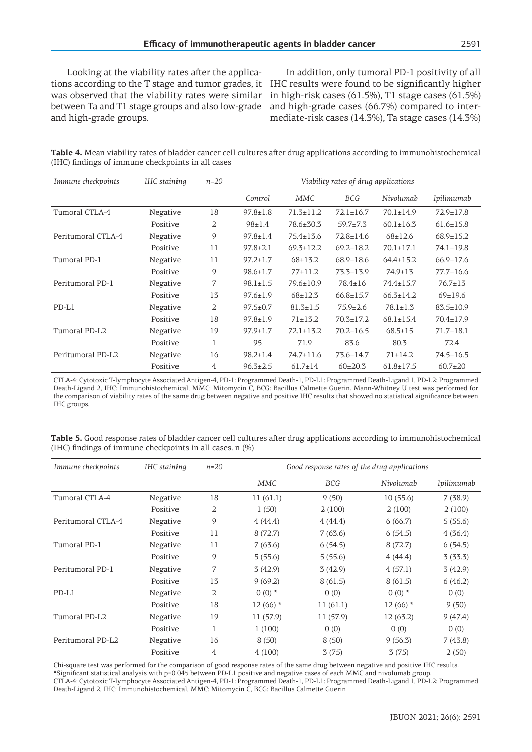Looking at the viability rates after the applications according to the T stage and tumor grades, it was observed that the viability rates were similar between Ta and T1 stage groups and also low-grade and high-grade groups.

In addition, only tumoral PD-1 positivity of all IHC results were found to be significantly higher in high-risk cases (61.5%), T1 stage cases (61.5%) and high-grade cases (66.7%) compared to intermediate-risk cases (14.3%), Ta stage cases (14.3%)

**Table 4.** Mean viability rates of bladder cancer cell cultures after drug applications according to immunohistochemical (IHC) findings of immune checkpoints in all cases

| Immune checkpoints | IHC staining | $n=20$         | Viability rates of drug applications |                 |                 |                 |                 |
|--------------------|--------------|----------------|--------------------------------------|-----------------|-----------------|-----------------|-----------------|
|                    |              |                | Control                              | MMC             | <b>BCG</b>      | Nivolumab       | Ipilimumab      |
| Tumoral CTLA-4     | Negative     | 18             | $97.8 \pm 1.8$                       | $71.3 \pm 11.2$ | $72.1 \pm 16.7$ | $70.1 \pm 14.9$ | $72.9 \pm 17.8$ |
|                    | Positive     | 2              | $98 \pm 1.4$                         | 78.6±30.3       | $59.7 + 7.3$    | $60.1 \pm 16.3$ | $61.6 \pm 15.8$ |
| Peritumoral CTLA-4 | Negative     | 9              | $97.8 \pm 1.4$                       | $75.4 \pm 13.6$ | $72.8 \pm 14.6$ | $68+12.6$       | $68.9 \pm 15.2$ |
|                    | Positive     | 11             | $97.8 \pm 2.1$                       | $69.3 \pm 12.2$ | $69.2 \pm 18.2$ | $70.1 \pm 17.1$ | $74.1 \pm 19.8$ |
| Tumoral PD-1       | Negative     | 11             | $97.2 \pm 1.7$                       | $68 + 13.2$     | $68.9 \pm 18.6$ | $64.4 \pm 15.2$ | $66.9 \pm 17.6$ |
|                    | Positive     | 9              | $98.6 \pm 1.7$                       | $77+11.2$       | $73.3 \pm 13.9$ | $74.9 \pm 13$   | $77.7 \pm 16.6$ |
| Peritumoral PD-1   | Negative     | 7              | $98.1 \pm 1.5$                       | $79.6 \pm 10.9$ | $78.4 \pm 16$   | $74.4 \pm 15.7$ | $76.7 \pm 13$   |
|                    | Positive     | 13             | $97.6 \pm 1.9$                       | $68 + 12.3$     | $66.8 \pm 15.7$ | $66.3 \pm 14.2$ | $69+19.6$       |
| $PD-L1$            | Negative     | 2              | $97.5 \pm 0.7$                       | $81.3 \pm 1.5$  | $75.9 \pm 2.6$  | $78.1 \pm 1.3$  | $83.5 \pm 10.9$ |
|                    | Positive     | 18             | $97.8 \pm 1.9$                       | $71 + 13.2$     | $70.3 \pm 17.2$ | $68.1 \pm 15.4$ | $70.4 \pm 17.9$ |
| Tumoral PD-L2      | Negative     | 19             | $97.9 \pm 1.7$                       | $72.1 \pm 13.2$ | $70.2 \pm 16.5$ | $68.5 \pm 15$   | $71.7 \pm 18.1$ |
|                    | Positive     | 1              | 95                                   | 71.9            | 83.6            | 80.3            | 72.4            |
| Peritumoral PD-L2  | Negative     | 16             | $98.2 \pm 1.4$                       | $74.7 \pm 11.6$ | $73.6 \pm 14.7$ | $71 \pm 14.2$   | $74.5 \pm 16.5$ |
|                    | Positive     | $\overline{4}$ | $96.3 \pm 2.5$                       | $61.7 \pm 14$   | $60+20.3$       | $61.8 \pm 17.5$ | $60.7{\pm}20$   |

CTLA-4: Cytotoxic T-lymphocyte Associated Antigen-4, PD-1: Programmed Death-1, PD-L1: Programmed Death-Ligand 1, PD-L2: Programmed Death-Ligand 2, IHC: Immunohistochemical, MMC: Mitomycin C, BCG: Bacillus Calmette Guerin. Mann-Whitney U test was performed for the comparison of viability rates of the same drug between negative and positive IHC results that showed no statistical significance between IHC groups.

| Table 5. Good response rates of bladder cancer cell cultures after drug applications according to immunohistochemical |  |  |  |
|-----------------------------------------------------------------------------------------------------------------------|--|--|--|
| (IHC) findings of immune checkpoints in all cases. n (%)                                                              |  |  |  |

| Immune checkpoints | IHC staining | $n=20$ | Good response rates of the drug applications |           |            |            |  |
|--------------------|--------------|--------|----------------------------------------------|-----------|------------|------------|--|
|                    |              |        | MMC                                          | BCG       | Nivolumab  | Ipilimumab |  |
| Tumoral CTLA-4     | Negative     | 18     | 11(61.1)                                     | 9(50)     | 10(55.6)   | 7(38.9)    |  |
|                    | Positive     | 2      | 1(50)                                        | 2(100)    | 2(100)     | 2(100)     |  |
| Peritumoral CTLA-4 | Negative     | 9      | 4(44.4)                                      | 4(44.4)   | 6(66.7)    | 5(55.6)    |  |
|                    | Positive     | 11     | 8(72.7)                                      | 7(63.6)   | 6(54.5)    | 4(36.4)    |  |
| Tumoral PD-1       | Negative     | 11     | 7(63.6)                                      | 6(54.5)   | 8(72.7)    | 6(54.5)    |  |
|                    | Positive     | 9      | 5(55.6)                                      | 5(55.6)   | 4(44.4)    | 3(33.3)    |  |
| Peritumoral PD-1   | Negative     | 7      | 3(42.9)                                      | 3(42.9)   | 4(57.1)    | 3(42.9)    |  |
|                    | Positive     | 13     | 9(69.2)                                      | 8(61.5)   | 8(61.5)    | 6(46.2)    |  |
| $PD-L1$            | Negative     | 2      | $0(0)$ *                                     | 0(0)      | $0(0)$ *   | 0(0)       |  |
|                    | Positive     | 18     | $12(66)$ *                                   | 11(61.1)  | $12(66)$ * | 9(50)      |  |
| Tumoral PD-L2      | Negative     | 19     | 11 (57.9)                                    | 11 (57.9) | 12(63.2)   | 9(47.4)    |  |
|                    | Positive     | 1      | 1(100)                                       | 0(0)      | 0(0)       | 0(0)       |  |
| Peritumoral PD-L2  | Negative     | 16     | 8(50)                                        | 8(50)     | 9(56.3)    | 7(43.8)    |  |
|                    | Positive     | 4      | 4(100)                                       | 3(75)     | 3(75)      | 2(50)      |  |

Chi-square test was performed for the comparison of good response rates of the same drug between negative and positive IHC results. \*Significant statistical analysis with p=0.045 between PD-L1 positive and negative cases of each MMC and nivolumab group.

CTLA-4: Cytotoxic T-lymphocyte Associated Antigen-4, PD-1: Programmed Death-1, PD-L1: Programmed Death-Ligand 1, PD-L2: Programmed Death-Ligand 2, IHC: Immunohistochemical, MMC: Mitomycin C, BCG: Bacillus Calmette Guerin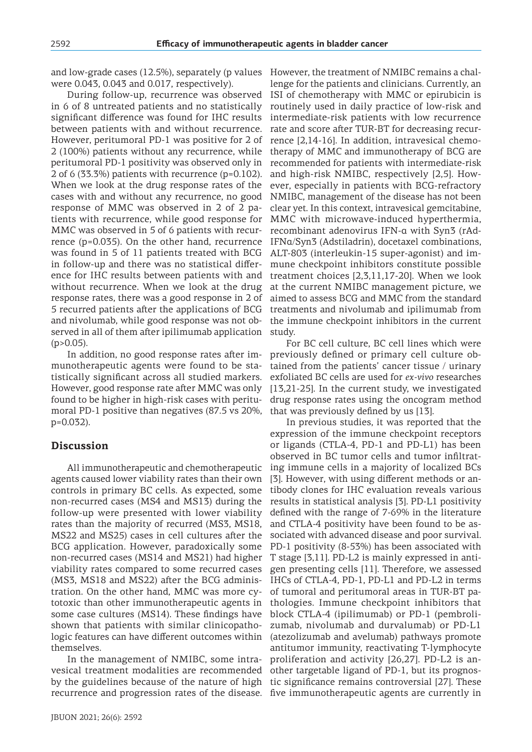and low-grade cases (12.5%), separately (p values were 0.043, 0.043 and 0.017, respectively).

During follow-up, recurrence was observed in 6 of 8 untreated patients and no statistically significant difference was found for IHC results between patients with and without recurrence. However, peritumoral PD-1 was positive for 2 of 2 (100%) patients without any recurrence, while peritumoral PD-1 positivity was observed only in 2 of 6 (33.3%) patients with recurrence (p=0.102). When we look at the drug response rates of the cases with and without any recurrence, no good response of MMC was observed in 2 of 2 patients with recurrence, while good response for MMC was observed in 5 of 6 patients with recurrence (p=0.035). On the other hand, recurrence was found in 5 of 11 patients treated with BCG in follow-up and there was no statistical difference for IHC results between patients with and without recurrence. When we look at the drug response rates, there was a good response in 2 of 5 recurred patients after the applications of BCG and nivolumab, while good response was not observed in all of them after ipilimumab application  $(p>0.05)$ .

In addition, no good response rates after immunotherapeutic agents were found to be statistically significant across all studied markers. However, good response rate after MMC was only found to be higher in high-risk cases with peritumoral PD-1 positive than negatives (87.5 vs 20%, p=0.032).

## **Discussion**

All immunotherapeutic and chemotherapeutic agents caused lower viability rates than their own controls in primary BC cells. As expected, some non-recurred cases (MS4 and MS13) during the follow-up were presented with lower viability rates than the majority of recurred (MS3, MS18, MS22 and MS25) cases in cell cultures after the BCG application. However, paradoxically some non-recurred cases (MS14 and MS21) had higher viability rates compared to some recurred cases (MS3, MS18 and MS22) after the BCG administration. On the other hand, MMC was more cytotoxic than other immunotherapeutic agents in some case cultures (MS14). These findings have shown that patients with similar clinicopathologic features can have different outcomes within themselves.

In the management of NMIBC, some intravesical treatment modalities are recommended by the guidelines because of the nature of high tic significance remains controversial [27]. These recurrence and progression rates of the disease. five immunotherapeutic agents are currently in

However, the treatment of NMIBC remains a challenge for the patients and clinicians. Currently, an ISI of chemotherapy with MMC or epirubicin is routinely used in daily practice of low-risk and intermediate-risk patients with low recurrence rate and score after TUR-BT for decreasing recurrence [2,14-16]. In addition, intravesical chemotherapy of MMC and immunotherapy of BCG are recommended for patients with intermediate-risk and high-risk NMIBC, respectively [2,5]. However, especially in patients with BCG-refractory NMIBC, management of the disease has not been clear yet. In this context, intravesical gemcitabine, MMC with microwave-induced hyperthermia, recombinant adenovirus IFN-α with Syn3 (rAd-IFNα/Syn3 (Adstiladrin), docetaxel combinations, ALT-803 (interleukin-15 super-agonist) and immune checkpoint inhibitors constitute possible treatment choices [2,3,11,17-20]. When we look at the current NMIBC management picture, we aimed to assess BCG and MMC from the standard treatments and nivolumab and ipilimumab from the immune checkpoint inhibitors in the current study.

For BC cell culture, BC cell lines which were previously defined or primary cell culture obtained from the patients' cancer tissue / urinary exfoliated BC cells are used for *ex-vivo* researches [13,21-25]. In the current study, we investigated drug response rates using the oncogram method that was previously defined by us [13].

In previous studies, it was reported that the expression of the immune checkpoint receptors or ligands (CTLA-4, PD-1 and PD-L1) has been observed in BC tumor cells and tumor infiltrating immune cells in a majority of localized BCs [3]. However, with using different methods or antibody clones for IHC evaluation reveals various results in statistical analysis [3]. PD-L1 positivity defined with the range of 7-69% in the literature and CTLA-4 positivity have been found to be associated with advanced disease and poor survival. PD-1 positivity (8-53%) has been associated with T stage [3,11]. PD-L2 is mainly expressed in antigen presenting cells [11]. Therefore, we assessed IHCs of CTLA-4, PD-1, PD-L1 and PD-L2 in terms of tumoral and peritumoral areas in TUR-BT pathologies. Immune checkpoint inhibitors that block CTLA-4 (ipilimumab) or PD-1 (pembrolizumab, nivolumab and durvalumab) or PD-L1 (atezolizumab and avelumab) pathways promote antitumor immunity, reactivating T-lymphocyte proliferation and activity [26,27]. PD-L2 is another targetable ligand of PD-1, but its prognos-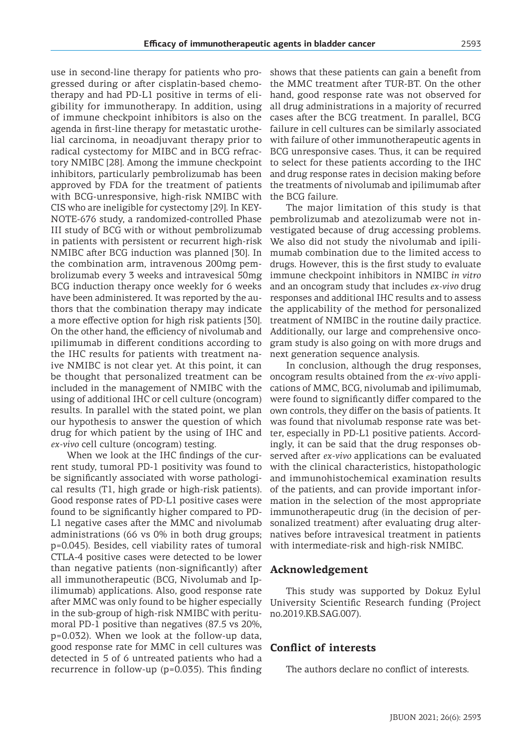use in second-line therapy for patients who progressed during or after cisplatin-based chemotherapy and had PD-L1 positive in terms of eligibility for immunotherapy. In addition, using of immune checkpoint inhibitors is also on the agenda in first-line therapy for metastatic urothelial carcinoma, in neoadjuvant therapy prior to radical cystectomy for MIBC and in BCG refractory NMIBC [28]. Among the immune checkpoint inhibitors, particularly pembrolizumab has been approved by FDA for the treatment of patients with BCG-unresponsive, high-risk NMIBC with CIS who are ineligible for cystectomy [29]. In KEY-NOTE-676 study, a randomized-controlled Phase III study of BCG with or without pembrolizumab in patients with persistent or recurrent high-risk NMIBC after BCG induction was planned [30]. In the combination arm, intravenous 200mg pembrolizumab every 3 weeks and intravesical 50mg BCG induction therapy once weekly for 6 weeks have been administered. It was reported by the authors that the combination therapy may indicate a more effective option for high risk patients [30]. On the other hand, the efficiency of nivolumab and ıpilimumab in different conditions according to the IHC results for patients with treatment naive NMIBC is not clear yet. At this point, it can be thought that personalized treatment can be included in the management of NMIBC with the using of additional IHC or cell culture (oncogram) results. In parallel with the stated point, we plan our hypothesis to answer the question of which drug for which patient by the using of IHC and *ex-vivo* cell culture (oncogram) testing.

When we look at the IHC findings of the current study, tumoral PD-1 positivity was found to be significantly associated with worse pathological results (T1, high grade or high-risk patients). Good response rates of PD-L1 positive cases were found to be significantly higher compared to PD-L1 negative cases after the MMC and nivolumab administrations (66 vs 0% in both drug groups; p=0.045). Besides, cell viability rates of tumoral CTLA-4 positive cases were detected to be lower than negative patients (non-significantly) after all immunotherapeutic (BCG, Nivolumab and Ipilimumab) applications. Also, good response rate after MMC was only found to be higher especially in the sub-group of high-risk NMIBC with peritumoral PD-1 positive than negatives (87.5 vs 20%, p=0.032). When we look at the follow-up data, good response rate for MMC in cell cultures was detected in 5 of 6 untreated patients who had a recurrence in follow-up (p=0.035). This finding

shows that these patients can gain a benefit from the MMC treatment after TUR-BT. On the other hand, good response rate was not observed for all drug administrations in a majority of recurred cases after the BCG treatment. In parallel, BCG failure in cell cultures can be similarly associated with failure of other immunotherapeutic agents in BCG unresponsive cases. Thus, it can be required to select for these patients according to the IHC and drug response rates in decision making before the treatments of nivolumab and ipilimumab after the BCG failure.

The major limitation of this study is that pembrolizumab and atezolizumab were not investigated because of drug accessing problems. We also did not study the nivolumab and ipilimumab combination due to the limited access to drugs. However, this is the first study to evaluate immune checkpoint inhibitors in NMIBC *in vitro* and an oncogram study that includes *ex-vivo* drug responses and additional IHC results and to assess the applicability of the method for personalized treatment of NMIBC in the routine daily practice. Additionally, our large and comprehensive oncogram study is also going on with more drugs and next generation sequence analysis.

In conclusion, although the drug responses, oncogram results obtained from the *ex-vivo* applications of MMC, BCG, nivolumab and ipilimumab, were found to significantly differ compared to the own controls, they differ on the basis of patients. It was found that nivolumab response rate was better, especially in PD-L1 positive patients. Accordingly, it can be said that the drug responses observed after *ex-vivo* applications can be evaluated with the clinical characteristics, histopathologic and immunohistochemical examination results of the patients, and can provide important information in the selection of the most appropriate immunotherapeutic drug (in the decision of personalized treatment) after evaluating drug alternatives before intravesical treatment in patients with intermediate-risk and high-risk NMIBC.

### **Acknowledgement**

This study was supported by Dokuz Eylul University Scientific Research funding (Project no.2019.KB.SAG.007).

### **Conflict of interests**

The authors declare no conflict of interests.